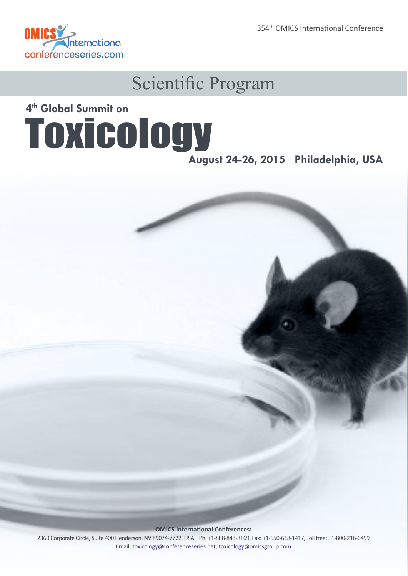354th OMICS International Conference



### Scientific Program

## Toxicology **4th Global Summit on**

**August 24-26, 2015 Philadelphia, USA**

**OMICS International Conferences:**

2360 Corporate Circle, Suite 400 Henderson, NV 89074-7722, USA Ph: +1-888-843-8169, Fax: +1-650-618-1417, Toll free: +1-800-216-6499 Email: toxicology@conferenceseries.net; toxicology@omicsgroup.com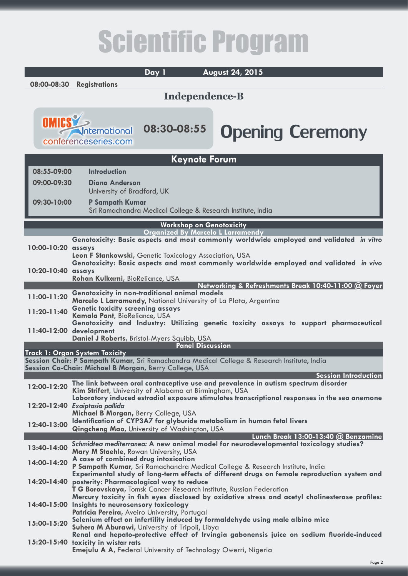# Scientific Program

**Day 1 August 24, 2015 08:00-08:30 Registrations Independence-B** Opening Ceremony **08:30-08:55** <u>nternational</u> conferenceseries.com **Keynote Forum 08:55-09:00 Introduction 09:00-09:30 [Diana Anderson](http://toxicology.global-summit.com/speaker/2015/diana-anderson-university-of-bradford-uk-144965512)** University of Bradford, UK **09:30-10:00 [P Sampath Kumar](http://toxicology.global-summit.com/speaker/2015/p-sampath-kumar-sri-ramachandra-medical-college-research-institute-india)** Sri Ramachandra Medical College & Research Institute, India **Workshop on Genotoxicity Organized By Marcelo L Larramendy [Genotoxicity: Basic aspects and most commonly worldwide employed and validated](http://toxicology.global-summit.com/abstract/2015/genotoxicity-basic-aspects-and-most-commonly-worldwide-employed-and-validated-in-vitro-assays)** *in vitro* **10:00-10:20 assays Leon F Stankowski,** [Genetic Toxicology Association, USA](http://toxicology.global-summit.com/speaker/2015/leon-f-stankowski-consultant-genetic-toxicology-usa) **[Genotoxicity: Basic aspects and most commonly worldwide employed and validated](http://toxicology.global-summit.com/abstract/2015/basic-aspects-and-most-commonly-worldwide-employed-and-validated-in-vivo-assays)** *in vivo* **10:20-10:40 assays [Rohan Kulkarni,](http://toxicology.global-summit.com/speaker/2015/rohan-kulkarni-bioreliance-usa)** BioReliance, USA **Networking & Refreshments Break 10:40-11:00 @ Foyer 11:00-11:20 [Genotoxicity in non-traditional animal models](http://toxicology.global-summit.com/abstract/2015/genotoxicity-in-non-traditional-animal-models) Marcelo L Larramendy,** [National University of La Plata, Argentina](http://toxicology.global-summit.com/speaker/2015/marcelo-l-larramendy-national-university-of-la-plata-argentina) **11:20-11:40 [Genetic toxicity screening assays](http://toxicology.global-summit.com/abstract/2015/genetic-toxicity-screening-assays) Kamala Pant,** [BioReliance, USA](http://toxicology.global-summit.com/speaker/2015/kamala-pant-bioreliance-usa) **[Genotoxicity and Industry: Utilizing genetic toxicity assays to support pharmaceutical](http://toxicology.global-summit.com/abstract/2015/genotoxicity-and-industry-utilizing-genetic-toxicity-assays-to-support-pharmaceutical-development)  11:40-12:00 development Daniel J Roberts,** [Bristol-Myers Squibb, USA](http://toxicology.global-summit.com/speaker/2015/daniel-j-roberts-research-scientist-bristol-myers-squibb) **Panel Discussion Track 1: Organ System Toxicity Session Chair: P Sampath Kumar,** Sri Ramachandra Medical College & Research Institute, India **Session Co-Chair: Michael B Morgan,** Berry College, USA  **Session Introduction 12:00-12:20 [The link between oral contraceptive use and prevalence in autism spectrum disorder](http://toxicology.global-summit.com/abstract/2015/the-link-between-oral-contraceptive-use-and-prevalence-in-autism-spectrum-disorder) Kim Strifert,** [University of Alabama at Birmingham, USA](http://toxicology.global-summit.com/speaker/2015/kim-strifert-university-of-alabama-at-birmingham-usa-2143127051) **[Laboratory induced estradiol exposure stimulates transcriptional responses in the sea anemone](http://toxicology.global-summit.com/abstract/2015/laboratory-induced-estradiol-exposure-stimulates-transcriptional-responses-in-the-sea-anemone-exaiptasia-pallida)  12:20-12:40** *Exaiptasia pallida* **[Michael B Morgan,](http://toxicology.global-summit.com/speaker/2015/michael-b-morgan-berry-college-usa)** Berry College, USA **12:40-13:00 [Identification of CYP3A7 for glyburide metabolism in human fetal livers](http://toxicology.global-summit.com/abstract/2015/identification-of-cyp3a7-for-glyburide-metabolism-in-human-fetal-livers) Qingcheng Mao,** [University of Washington, USA](http://toxicology.global-summit.com/speaker/2015/qingcheng-mao-university-of-washington-usa-1668347791) **Lunch Break 13:00-13:40 @ Benzamine 13:40-14:00** *Schmidtea mediterranea:* **[A new animal model for neurodevelopmental toxicology studies?](http://toxicology.global-summit.com/abstract/2015/schmidtea-mediterranea-a-new-animal-model-for-neurodevelopmental-toxicology-studies) Mary M Staehle,** [Rowan University, USA](http://toxicology.global-summit.com/speaker/2015/mary-m-staehle-rowan-university-usa) **14:00-14:20 [A case of combined drug intoxication](http://toxicology.global-summit.com/abstract/2015/a-case-of-combined-drug-intoxication) P Sampath Kumar,** [Sri Ramachandra Medical College & Research Institute, India](http://toxicology.global-summit.com/speaker/2015/p-sampath-kumar-sri-ramachandra-medical-college-research-institute-india) **[Experimental study of long-term effects of different drugs on female reproduction system and](http://toxicology.global-summit.com/abstract/2015/experimental-study-of-long-term-effects-of-different-drugs-on-female-reproduction-system-and-posterity-pharmacological-way-to-reduce)  14:20-14:40 posterity: Pharmacological way to reduce T G Borovskaya,** [Tomsk Cancer Research Institute, Russian Federation](http://toxicology.global-summit.com/speaker/2015/t-g-borovskaya-tomsk-cancer-research-institute-russia) **[Mercury toxicity in fish eyes disclosed by oxidative stress and acetyl cholinesterase profiles:](http://toxicology.global-summit.com/abstract/2015/mercury-toxicity-in-fish-eyes-disclosed-by-oxidative-stress-and-acetyl-cholinesterase-profiles-insights-to-neurosensory-toxicology)  14:40-15:00 Insights to neurosensory toxicology Patrícia Pereira,** [Aveiro University, Portugal](http://toxicology.global-summit.com/speaker/2015/patrcia-pereira-aveiro-university-portugal) **15:00-15:20 [Selenium effect on infertility induced by formaldehyde using male albino mice](http://toxicology.global-summit.com/abstract/2015/selenium-effect-on-infertility-induced-by-formaldehyde-using-male-albino-mice) Suhera M Aburawi,** [University of Tripoli, Libya](http://toxicology.global-summit.com/speaker/2015/suhera-m-aburawi-university-of-tripoli-libya-1204270917) **[Renal and hepato-protective effect of Irvingia gabonensis juice on sodium fluoride-induced](http://toxicology.global-summit.com/abstract/2015/renal-and-hepato-protective-effect-of-irvingia-gabonensis-juice-on-sodium-fluoride-induced-toxicity-in-wistar-rats)  15:20-15:40 toxicity in wistar rats**

**Emejulu A A, [Federal University of Technology Owerri, Nigeria](http://toxicology.global-summit.com/speaker/2015/adamma-a-emejulu-federal-university-of-technology-nigeria)**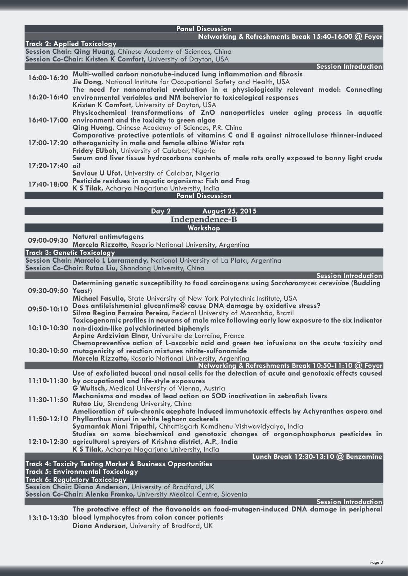|                    | <b>Panel Discussion</b>                                                                                                                                  |
|--------------------|----------------------------------------------------------------------------------------------------------------------------------------------------------|
|                    | Networking & Refreshments Break 15:40-16:00 @ Foyer<br><b>Track 2: Applied Toxicology</b>                                                                |
|                    | Session Chair: Qing Huang, Chinese Academy of Sciences, China                                                                                            |
|                    | Session Co-Chair: Kristen K Comfort, University of Dayton, USA                                                                                           |
|                    | Session Introduction                                                                                                                                     |
| 16:00-16:20        | Multi-walled carbon nanotube-induced lung inflammation and fibrosis<br>Jie Dong, National Institute for Occupational Safety and Health, USA              |
|                    | The need for nanomaterial evaluation in a physiologically relevant model: Connecting                                                                     |
|                    | 16:20-16:40 environmental variables and NM behavior to toxicological responses                                                                           |
|                    | Kristen K Comfort, University of Dayton, USA                                                                                                             |
|                    | Physicochemical transformations of ZnO nanoparticles under aging process in aquatic<br>16:40-17:00 environment and the toxicity to green algae           |
|                    | Qing Huang, Chinese Academy of Sciences, P.R. China                                                                                                      |
|                    | Comparative protective potentials of vitamins C and E against nitrocellulose thinner-induced                                                             |
|                    | 17:00-17:20 atherogenicity in male and female albino Wistar rats<br>Friday EUboh, University of Calabar, Nigeria                                         |
|                    | Serum and liver tissue hydrocarbons contents of male rats orally exposed to bonny light crude                                                            |
| 17:20-17:40 oil    |                                                                                                                                                          |
|                    | Saviour U Ufot, University of Calabar, Nigeria                                                                                                           |
| 17:40-18:00        | Pesticide residues in aquatic organisms: Fish and Frog<br>K S Tilak, Acharya Nagarjuna University, India                                                 |
|                    | <b>Panel Discussion</b>                                                                                                                                  |
|                    |                                                                                                                                                          |
|                    | August 25, 2015<br>Day 2                                                                                                                                 |
|                    | <b>Independence-B</b><br>Workshop                                                                                                                        |
|                    | <b>Natural antimutagens</b>                                                                                                                              |
| 09:00-09:30        | Marcela Rizzotto, Rosario National University, Argentina                                                                                                 |
|                    | <b>Track 3: Genetic Toxicology</b>                                                                                                                       |
|                    | Session Chair: Marcelo L Larramendy, National University of La Plata, Argentina                                                                          |
|                    | Session Co-Chair: Rutao Liu, Shandong University, China<br>Session Introduction                                                                          |
|                    | Determining genetic susceptibility to food carcinogens using Saccharomyces cerevisiae (Budding                                                           |
| 09:30-09:50 Yeast) |                                                                                                                                                          |
|                    | Michael Fasullo, State University of New York Polytechnic Institute, USA<br>Does antileishmanial glucantime® cause DNA damage by oxidative stress?       |
| 09:50-10:10        | Silma Regina Ferreira Pereira, Federal University of Maranhão, Brazil                                                                                    |
|                    | Toxicogenomic profiles in neurons of male mice following early low exposure to the six indicator                                                         |
|                    | 10:10-10:30 non-dioxin-like polychlorinated biphenyls                                                                                                    |
|                    | Arpine Ardzivian Elnar, Universite de Lorraine, France<br>Chemopreventive action of L-ascorbic acid and green tea infusions on the acute toxicity and    |
|                    | 10:30-10:50 mutagenicity of reaction mixtures nitrite-sulfonamide                                                                                        |
|                    | Marcela Rizzotto, Rosario National University, Argentina                                                                                                 |
|                    | Networking & Refreshments Break 10:50-11:10 @ Foyer                                                                                                      |
|                    | Use of exfoliated buccal and nasal cells for the detection of acute and genotoxic effects caused<br>11:10-11:30 by occupational and life-style exposures |
|                    | G Wultsch, Medical University of Vienna, Austria                                                                                                         |
| 11:30-11:50        | Mechanisms and modes of lead action on SOD inactivation in zebrafish livers                                                                              |
|                    | Rutao Liu, Shandong University, China                                                                                                                    |
|                    | Amelioration of sub-chronic acephate induced immunotoxic effects by Achyranthes aspera and<br>11:50-12:10 Phyllanthus niruri in white leghorn cockerels  |
|                    | Syamantak Mani Tripathi, Chhattisgarh Kamdhenu Vishwavidyalya, India                                                                                     |
|                    | Studies on some biochemical and genotoxic changes of organophosphorus pesticides in                                                                      |
|                    | 12:10-12:30 agricultural sprayers of Krishna district, A.P., India                                                                                       |
|                    | K S Tilak, Acharya Nagarjuna University, India<br>Lunch Break 12:30-13:10 @ Benzamine                                                                    |
|                    | Track 4: Toxicity Testing Market & Business Opportunities                                                                                                |
|                    | <b>Track 5: Environmental Toxicology</b>                                                                                                                 |
|                    | <b>Track 6: Regulatory Toxicology</b><br>Session Chair: Diana Anderson, University of Bradford, UK                                                       |
|                    | Session Co-Chair: Alenka Franko, University Medical Centre, Slovenia                                                                                     |
|                    | Session Introduction                                                                                                                                     |
|                    | The protective effect of the flavonoids on food-mutagen-induced DNA damage in peripheral                                                                 |
|                    | 13:10-13:30 blood lymphocytes from colon cancer patients                                                                                                 |

**Diana Anderson,** [University of Bradford, UK](http://toxicology.global-summit.com/speaker/2015/diana-anderson-university-of-bradford-uk-1359385771)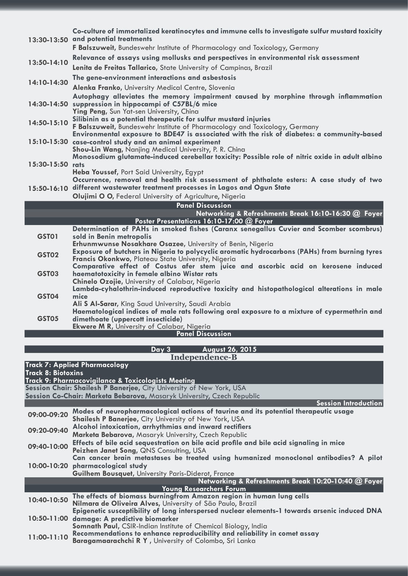|                  | Co-culture of immortalized keratinocytes and immune cells to investigate sulfur mustard toxicity<br>13:30-13:50 and potential treatments<br>F Balszuweit, Bundeswehr Institute of Pharmacology and Toxicology, Germany |
|------------------|------------------------------------------------------------------------------------------------------------------------------------------------------------------------------------------------------------------------|
|                  | Relevance of assays using mollusks and perspectives in environmental risk assessment                                                                                                                                   |
| 13:50-14:10      |                                                                                                                                                                                                                        |
|                  | Lenita de Freitas Tallarico, State University of Campinas, Brazil                                                                                                                                                      |
| 14:10-14:30      | The gene-environment interactions and asbestosis                                                                                                                                                                       |
|                  | Alenka Franko, University Medical Centre, Slovenia                                                                                                                                                                     |
|                  | Autophagy alleviates the memory impairment caused by morphine through inflammation                                                                                                                                     |
|                  | 14:30-14:50 suppression in hippocampi of C57BL/6 mice<br>Ying Peng, Sun Yat-sen University, China                                                                                                                      |
|                  | Silibinin as a potential therapeutic for sulfur mustard injuries                                                                                                                                                       |
| 14:50-15:10      | F Balszuweit, Bundeswehr Institute of Pharmacology and Toxicology, Germany                                                                                                                                             |
|                  | Environmental exposure to BDE47 is associated with the risk of diabetes: a community-based                                                                                                                             |
|                  | 15:10-15:30 case-control study and an animal experiment                                                                                                                                                                |
|                  | Shou-Lin Wang, Nanjing Medical University, P. R. China                                                                                                                                                                 |
| 15:30-15:50 rats | Monosodium glutamate-induced cerebellar toxicity: Possible role of nitric oxide in adult albino                                                                                                                        |
|                  | Heba Youssef, Port Said University, Egypt                                                                                                                                                                              |
|                  | Occurrence, removal and health risk assessment of phthalate esters: A case study of two                                                                                                                                |
|                  | 15:50-16:10 different wastewater treatment processes in Lagos and Ogun State                                                                                                                                           |
|                  | Olujimi O O, Federal University of Agriculture, Nigeria                                                                                                                                                                |
|                  |                                                                                                                                                                                                                        |
|                  | <b>Panel Discussion</b>                                                                                                                                                                                                |
|                  | Networking & Refreshments Break 16:10-16:30 @ Foyer                                                                                                                                                                    |
|                  | Poster Presentations 16:10-17:00 @ Foyer                                                                                                                                                                               |
|                  | Determination of PAHs in smoked fishes (Caranx senegallus Cuvier and Scomber scombrus)                                                                                                                                 |
| <b>GST01</b>     | sold in Benin metropolis<br>Erhunmwunse Nosakhare Osazee, University of Benin, Nigeria                                                                                                                                 |
|                  | Exposure of butchers in Nigeria to polycyclic aromatic hydrocarbons (PAHs) from burning tyres                                                                                                                          |
| GST02            | Francis Okonkwo, Plateau State University, Nigeria                                                                                                                                                                     |
|                  | Comparative effect of Costus afer stem juice and ascorbic acid on kerosene induced                                                                                                                                     |
| <b>GST03</b>     | haematotoxicity in female albino Wistar rats                                                                                                                                                                           |
|                  | Chinelo Ozojie, University of Calabar, Nigeria<br>Lambda-cyhalothrin-induced reproductive toxicity and histopathological alterations in male                                                                           |
| <b>GST04</b>     | mice                                                                                                                                                                                                                   |
|                  | Ali S Al-Sarar, King Saud University, Saudi Arabia                                                                                                                                                                     |
|                  | Haematological indices of male rats following oral exposure to a mixture of cypermethrin and                                                                                                                           |
| GST05            | dimethoate (uppercott insecticide)                                                                                                                                                                                     |
|                  | Ekwere M R, University of Calabar, Nigeria<br><b>Panel Discussion</b>                                                                                                                                                  |
|                  |                                                                                                                                                                                                                        |
|                  | Day 3<br>August 26, 2015<br><b>Independence-B</b>                                                                                                                                                                      |

| <b>Track 7: Applied Pharmacology</b><br>Track 8: Biotoxins                                                                                     |                                                                                                                                                                                                               |  |  |
|------------------------------------------------------------------------------------------------------------------------------------------------|---------------------------------------------------------------------------------------------------------------------------------------------------------------------------------------------------------------|--|--|
| Track 9: Pharmacovigilance & Toxicologists Meeting                                                                                             |                                                                                                                                                                                                               |  |  |
| Session Chair: Shailesh P Banerjee, City University of New York, USA<br>Session Co-Chair: Marketa Bebarova, Masaryk University, Czech Republic |                                                                                                                                                                                                               |  |  |
|                                                                                                                                                | Session Introduction                                                                                                                                                                                          |  |  |
| 09:00-09:20                                                                                                                                    | Modes of neuropharmacological actions of taurine and its potential therapeutic usage<br><b>Shailesh P Banerjee, City University of New York, USA</b>                                                          |  |  |
| 09:20-09:40                                                                                                                                    | Alcohol intoxication, arrhythmias and inward rectifiers<br>Marketa Bebarova, Masaryk University, Czech Republic                                                                                               |  |  |
| 09:40-10:00                                                                                                                                    | Effects of bile acid sequestration on bile acid profile and bile acid signaling in mice<br>Peizhen Janet Song, QNS Consulting, USA                                                                            |  |  |
|                                                                                                                                                | Can cancer brain metastases be treated using humanized monoclonal antibodies? A pilot<br>10:00-10:20 pharmacological study<br><b>Guilhem Bousquet, University Paris-Diderot, France</b>                       |  |  |
|                                                                                                                                                | Networking & Refreshments Break 10:20-10:40 @ Foyer                                                                                                                                                           |  |  |
|                                                                                                                                                | <b>Young Researchers Forum</b>                                                                                                                                                                                |  |  |
| 10:40-10:50                                                                                                                                    | The effects of biomass burningfrom Amazon region in human lung cells<br>Nilmara de Oliveira Alves, University of São Paulo, Brazil                                                                            |  |  |
|                                                                                                                                                | Epigenetic susceptibility of long interspersed nuclear elements-1 towards arsenic induced DNA<br>10:50-11:00 damage: A predictive biomarker<br>Somnath Paul, CSIR-Indian Institute of Chemical Biology, India |  |  |
| $11:00 - 11:10$                                                                                                                                | Recommendations to enhance reproducibility and reliability in comet assay<br><b>Baragamaarachchi R Y</b> , University of Colombo, Sri Lanka                                                                   |  |  |